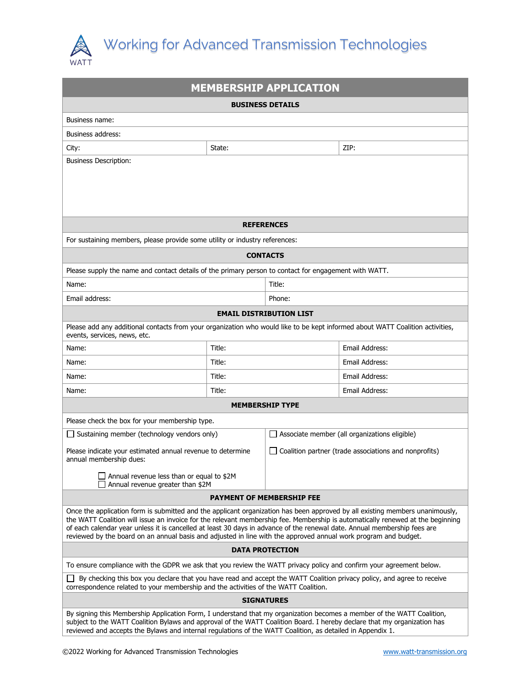

| <b>MEMBERSHIP APPLICATION</b>                                                                                                                                                                                                                                                                                                                                                                                                                                                                                 |        |                                                       |                |  |
|---------------------------------------------------------------------------------------------------------------------------------------------------------------------------------------------------------------------------------------------------------------------------------------------------------------------------------------------------------------------------------------------------------------------------------------------------------------------------------------------------------------|--------|-------------------------------------------------------|----------------|--|
| <b>BUSINESS DETAILS</b>                                                                                                                                                                                                                                                                                                                                                                                                                                                                                       |        |                                                       |                |  |
| Business name:                                                                                                                                                                                                                                                                                                                                                                                                                                                                                                |        |                                                       |                |  |
| Business address:                                                                                                                                                                                                                                                                                                                                                                                                                                                                                             |        |                                                       |                |  |
| City:                                                                                                                                                                                                                                                                                                                                                                                                                                                                                                         | State: |                                                       | ZIP:           |  |
| <b>Business Description:</b>                                                                                                                                                                                                                                                                                                                                                                                                                                                                                  |        |                                                       |                |  |
|                                                                                                                                                                                                                                                                                                                                                                                                                                                                                                               |        |                                                       |                |  |
|                                                                                                                                                                                                                                                                                                                                                                                                                                                                                                               |        |                                                       |                |  |
| <b>REFERENCES</b>                                                                                                                                                                                                                                                                                                                                                                                                                                                                                             |        |                                                       |                |  |
| For sustaining members, please provide some utility or industry references:                                                                                                                                                                                                                                                                                                                                                                                                                                   |        |                                                       |                |  |
| <b>CONTACTS</b>                                                                                                                                                                                                                                                                                                                                                                                                                                                                                               |        |                                                       |                |  |
| Please supply the name and contact details of the primary person to contact for engagement with WATT.                                                                                                                                                                                                                                                                                                                                                                                                         |        |                                                       |                |  |
| Name:                                                                                                                                                                                                                                                                                                                                                                                                                                                                                                         | Title: |                                                       |                |  |
| Email address:                                                                                                                                                                                                                                                                                                                                                                                                                                                                                                |        | Phone:                                                |                |  |
| <b>EMAIL DISTRIBUTION LIST</b>                                                                                                                                                                                                                                                                                                                                                                                                                                                                                |        |                                                       |                |  |
| Please add any additional contacts from your organization who would like to be kept informed about WATT Coalition activities,<br>events, services, news, etc.                                                                                                                                                                                                                                                                                                                                                 |        |                                                       |                |  |
| Name:                                                                                                                                                                                                                                                                                                                                                                                                                                                                                                         | Title: |                                                       | Email Address: |  |
| Name:                                                                                                                                                                                                                                                                                                                                                                                                                                                                                                         | Title: |                                                       | Email Address: |  |
| Name:                                                                                                                                                                                                                                                                                                                                                                                                                                                                                                         | Title: |                                                       | Email Address: |  |
| Name:                                                                                                                                                                                                                                                                                                                                                                                                                                                                                                         | Title: |                                                       | Email Address: |  |
| <b>MEMBERSHIP TYPE</b>                                                                                                                                                                                                                                                                                                                                                                                                                                                                                        |        |                                                       |                |  |
| Please check the box for your membership type.                                                                                                                                                                                                                                                                                                                                                                                                                                                                |        |                                                       |                |  |
| Sustaining member (technology vendors only)                                                                                                                                                                                                                                                                                                                                                                                                                                                                   |        | $\Box$ Associate member (all organizations eligible)  |                |  |
| Please indicate your estimated annual revenue to determine<br>annual membership dues:                                                                                                                                                                                                                                                                                                                                                                                                                         |        | Coalition partner (trade associations and nonprofits) |                |  |
| $\Box$ Annual revenue less than or equal to \$2M<br>Annual revenue greater than \$2M                                                                                                                                                                                                                                                                                                                                                                                                                          |        |                                                       |                |  |
| <b>PAYMENT OF MEMBERSHIP FEE</b>                                                                                                                                                                                                                                                                                                                                                                                                                                                                              |        |                                                       |                |  |
| Once the application form is submitted and the applicant organization has been approved by all existing members unanimously,<br>the WATT Coalition will issue an invoice for the relevant membership fee. Membership is automatically renewed at the beginning<br>of each calendar year unless it is cancelled at least 30 days in advance of the renewal date. Annual membership fees are<br>reviewed by the board on an annual basis and adjusted in line with the approved annual work program and budget. |        |                                                       |                |  |
| <b>DATA PROTECTION</b>                                                                                                                                                                                                                                                                                                                                                                                                                                                                                        |        |                                                       |                |  |
| To ensure compliance with the GDPR we ask that you review the WATT privacy policy and confirm your agreement below.                                                                                                                                                                                                                                                                                                                                                                                           |        |                                                       |                |  |
| By checking this box you declare that you have read and accept the WATT Coalition privacy policy, and agree to receive<br>correspondence related to your membership and the activities of the WATT Coalition.                                                                                                                                                                                                                                                                                                 |        |                                                       |                |  |
| <b>SIGNATURES</b>                                                                                                                                                                                                                                                                                                                                                                                                                                                                                             |        |                                                       |                |  |
| By signing this Membership Application Form, I understand that my organization becomes a member of the WATT Coalition,<br>subject to the WATT Coalition Bylaws and approval of the WATT Coalition Board. I hereby declare that my organization has<br>reviewed and accepts the Bylaws and internal regulations of the WATT Coalition, as detailed in Appendix 1.                                                                                                                                              |        |                                                       |                |  |